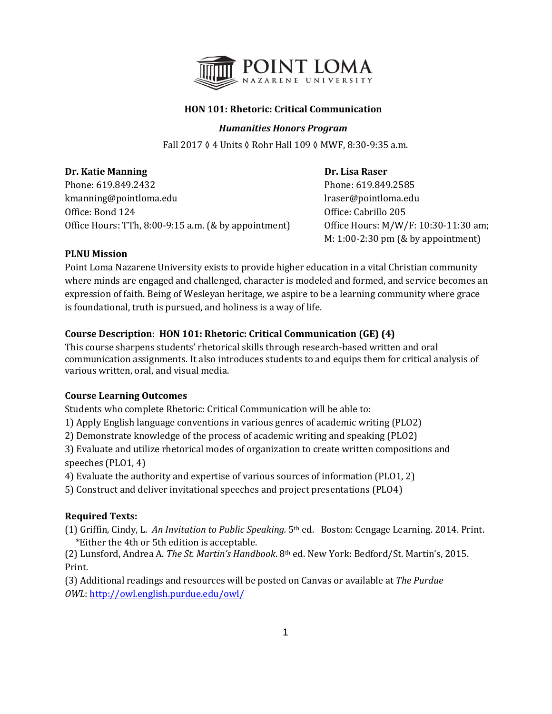

## **HON 101: Rhetoric: Critical Communication**

## *Humanities Honors Program*

Fall 2017 ◊ 4 Units ◊ Rohr Hall 109 ◊ MWF, 8:30-9:35 a.m.

# **Dr. Katie Manning Community Community Community Community Community Community Community Community Community Community Community Community Community Community Community Community Community Community Community Community Com** Phone: 619.849.2432<br>
kmanning@pointloma.edu<br>
l'aser@pointloma.edu<br>
l'aser@pointloma.edu kmanning@pointloma.edu Office: Bond 124 Office: Cabrillo 205 Office Hours: TTh, 8:00-9:15 a.m. (& by appointment) Office Hours: M/W/F: 10:30-11:30 am;

M: 1:00-2:30 pm (& by appointment)

## **PLNU Mission**

Point Loma Nazarene University exists to provide higher education in a vital Christian community where minds are engaged and challenged, character is modeled and formed, and service becomes an expression of faith. Being of Wesleyan heritage, we aspire to be a learning community where grace is foundational, truth is pursued, and holiness is a way of life.

# **Course Description**: **HON 101: Rhetoric: Critical Communication (GE) (4)**

This course sharpens students' rhetorical skills through research‐based written and oral communication assignments. It also introduces students to and equips them for critical analysis of various written, oral, and visual media.

## **Course Learning Outcomes**

Students who complete Rhetoric: Critical Communication will be able to:

1) Apply English language conventions in various genres of academic writing (PLO2)

2) Demonstrate knowledge of the process of academic writing and speaking (PLO2)

3) Evaluate and utilize rhetorical modes of organization to create written compositions and speeches (PLO1, 4)

4) Evaluate the authority and expertise of various sources of information (PLO1, 2)

5) Construct and deliver invitational speeches and project presentations (PLO4)

# **Required Texts:**

(1) Griffin, Cindy, L. *An Invitation to Public Speaking.* 5th ed.Boston: Cengage Learning. 2014. Print. \*Either the 4th or 5th edition is acceptable.

(2) Lunsford, Andrea A. *The St. Martin's Handbook*. 8th ed. New York: Bedford/St. Martin's, 2015. Print.

(3) Additional readings and resources will be posted on Canvas or available at *The Purdue OWL*:<http://owl.english.purdue.edu/owl/>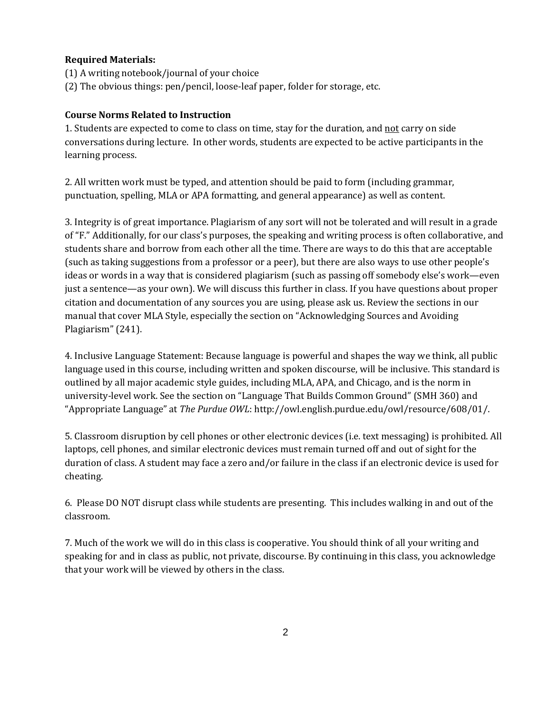#### **Required Materials:**

- (1) A writing notebook/journal of your choice
- (2) The obvious things: pen/pencil, loose-leaf paper, folder for storage, etc.

#### **Course Norms Related to Instruction**

1. Students are expected to come to class on time, stay for the duration, and not carry on side conversations during lecture. In other words, students are expected to be active participants in the learning process.

2. All written work must be typed, and attention should be paid to form (including grammar, punctuation, spelling, MLA or APA formatting, and general appearance) as well as content.

3. Integrity is of great importance. Plagiarism of any sort will not be tolerated and will result in a grade of "F." Additionally, for our class's purposes, the speaking and writing process is often collaborative, and students share and borrow from each other all the time. There are ways to do this that are acceptable (such as taking suggestions from a professor or a peer), but there are also ways to use other people's ideas or words in a way that is considered plagiarism (such as passing off somebody else's work—even just a sentence—as your own). We will discuss this further in class. If you have questions about proper citation and documentation of any sources you are using, please ask us. Review the sections in our manual that cover MLA Style, especially the section on "Acknowledging Sources and Avoiding Plagiarism" (241).

4. Inclusive Language Statement: Because language is powerful and shapes the way we think, all public language used in this course, including written and spoken discourse, will be inclusive. This standard is outlined by all major academic style guides, including MLA, APA, and Chicago, and is the norm in university-level work. See the section on "Language That Builds Common Ground" (SMH 360) and "Appropriate Language" at *The Purdue OWL*: http://owl.english.purdue.edu/owl/resource/608/01/.

5. Classroom disruption by cell phones or other electronic devices (i.e. text messaging) is prohibited. All laptops, cell phones, and similar electronic devices must remain turned off and out of sight for the duration of class. A student may face a zero and/or failure in the class if an electronic device is used for cheating.

6. Please DO NOT disrupt class while students are presenting. This includes walking in and out of the classroom.

7. Much of the work we will do in this class is cooperative. You should think of all your writing and speaking for and in class as public, not private, discourse. By continuing in this class, you acknowledge that your work will be viewed by others in the class.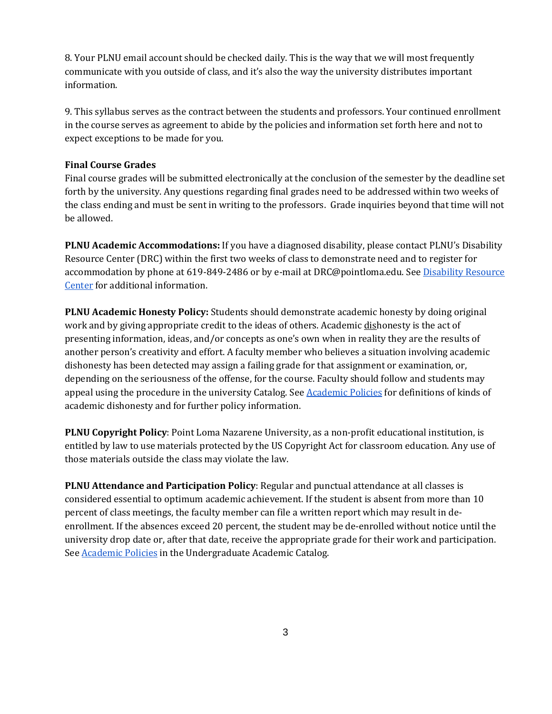8. Your PLNU email account should be checked daily. This is the way that we will most frequently communicate with you outside of class, and it's also the way the university distributes important information.

9. This syllabus serves as the contract between the students and professors. Your continued enrollment in the course serves as agreement to abide by the policies and information set forth here and not to expect exceptions to be made for you.

#### **Final Course Grades**

Final course grades will be submitted electronically at the conclusion of the semester by the deadline set forth by the university. Any questions regarding final grades need to be addressed within two weeks of the class ending and must be sent in writing to the professors. Grade inquiries beyond that time will not be allowed.

**PLNU Academic Accommodations:** If you have a diagnosed disability, please contact PLNU's Disability Resource Center (DRC) within the first two weeks of class to demonstrate need and to register for accommodation by phone at 619-849-2486 or by e-mail at DRC@pointloma.edu. See Disability Resource [Center](http://www.pointloma.edu/experience/offices/administrative-offices/academic-advising-office/disability-resource-center) for additional information.

**PLNU Academic Honesty Policy:** Students should demonstrate academic honesty by doing original work and by giving appropriate credit to the ideas of others. Academic dishonesty is the act of presenting information, ideas, and/or concepts as one's own when in reality they are the results of another person's creativity and effort. A faculty member who believes a situation involving academic dishonesty has been detected may assign a failing grade for that assignment or examination, or, depending on the seriousness of the offense, for the course. Faculty should follow and students may appeal using the procedure in the university Catalog. Se[e](http://catalog.pointloma.edu/content.php?catoid=18&navoid=1278) [Academic Policies](http://catalog.pointloma.edu/content.php?catoid=18&navoid=1278) for definitions of kinds of academic dishonesty and for further policy information.

**PLNU Copyright Policy**: Point Loma Nazarene University, as a non-profit educational institution, is entitled by law to use materials protected by the US Copyright Act for classroom education. Any use of those materials outside the class may violate the law.

**PLNU Attendance and Participation Policy**: Regular and punctual attendance at all classes is considered essential to optimum academic achievement. If the student is absent from more than 10 percent of class meetings, the faculty member can file a written report which may result in deenrollment. If the absences exceed 20 percent, the student may be de-enrolled without notice until the university drop date or, after that date, receive the appropriate grade for their work and participation. See **[Academic Policies](http://catalog.pointloma.edu/content.php?catoid=18&navoid=1278)** in the Undergraduate Academic Catalog.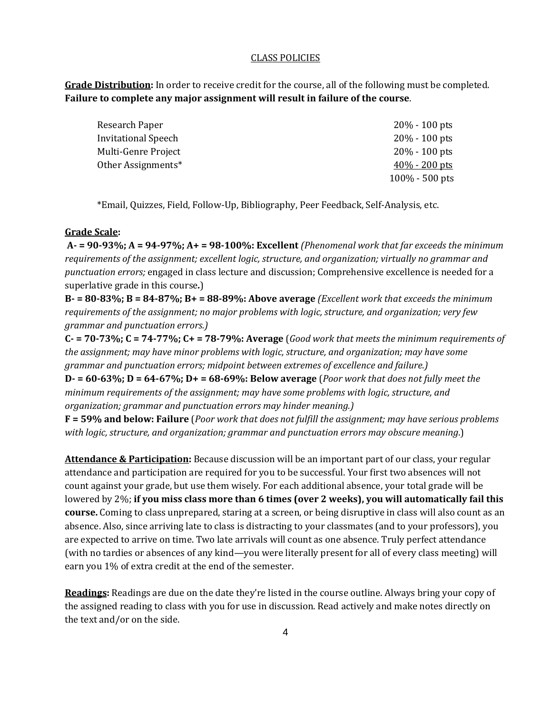#### CLASS POLICIES

**Grade Distribution:** In order to receive credit for the course, all of the following must be completed. **Failure to complete any major assignment will result in failure of the course**.

| Research Paper             | $20\% - 100$ pts  |
|----------------------------|-------------------|
| <b>Invitational Speech</b> | $20\% - 100$ pts  |
| Multi-Genre Project        | $20\% - 100$ pts  |
| Other Assignments*         | $40\% - 200$ pts  |
|                            | $100\% - 500$ pts |
|                            |                   |

\*Email, Quizzes, Field, Follow-Up, Bibliography, Peer Feedback, Self-Analysis, etc.

#### **Grade Scale:**

**A- = 90-93%; A = 94-97%; A+ = 98-100%: Excellent** *(Phenomenal work that far exceeds the minimum requirements of the assignment; excellent logic, structure, and organization; virtually no grammar and punctuation errors;* engaged in class lecture and discussion; Comprehensive excellence is needed for a superlative grade in this course*.*)

**B- = 80-83%; B = 84-87%; B+ = 88-89%: Above average** *(Excellent work that exceeds the minimum requirements of the assignment; no major problems with logic, structure, and organization; very few grammar and punctuation errors.)*

**C- = 70-73%; C = 74-77%; C+ = 78-79%: Average** (*Good work that meets the minimum requirements of the assignment; may have minor problems with logic, structure, and organization; may have some grammar and punctuation errors; midpoint between extremes of excellence and failure.)*

**D- = 60-63%; D = 64-67%; D+ = 68-69%: Below average** (*Poor work that does not fully meet the minimum requirements of the assignment; may have some problems with logic, structure, and organization; grammar and punctuation errors may hinder meaning.)*

**F = 59% and below: Failure** (*Poor work that does not fulfill the assignment; may have serious problems with logic, structure, and organization; grammar and punctuation errors may obscure meaning*.)

**Attendance & Participation:** Because discussion will be an important part of our class, your regular attendance and participation are required for you to be successful. Your first two absences will not count against your grade, but use them wisely. For each additional absence, your total grade will be lowered by 2%; **if you miss class more than 6 times (over 2 weeks), you will automatically fail this course.** Coming to class unprepared, staring at a screen, or being disruptive in class will also count as an absence. Also, since arriving late to class is distracting to your classmates (and to your professors), you are expected to arrive on time. Two late arrivals will count as one absence. Truly perfect attendance (with no tardies or absences of any kind—you were literally present for all of every class meeting) will earn you 1% of extra credit at the end of the semester.

**Readings:** Readings are due on the date they're listed in the course outline. Always bring your copy of the assigned reading to class with you for use in discussion. Read actively and make notes directly on the text and/or on the side.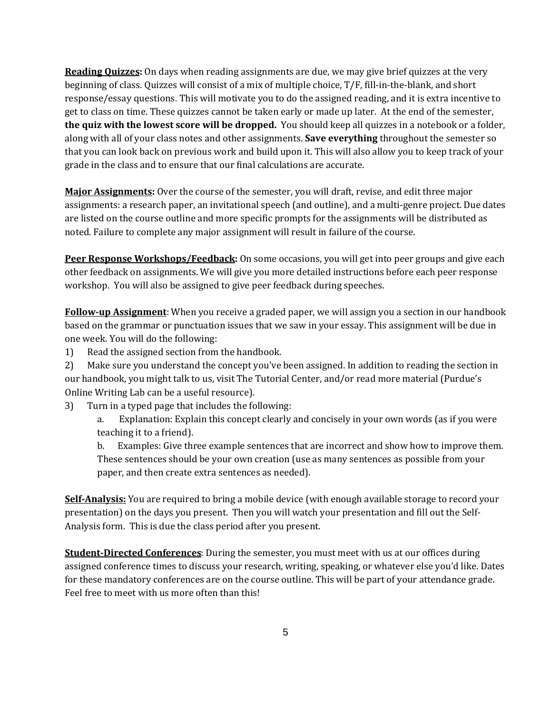**Reading Quizzes:** On days when reading assignments are due, we may give brief quizzes at the very beginning of class. Quizzes will consist of a mix of multiple choice, T/F, fill-in-the-blank, and short response/essay questions. This will motivate you to do the assigned reading, and it is extra incentive to get to class on time. These quizzes cannot be taken early or made up later. At the end of the semester, **the quiz with the lowest score will be dropped.** You should keep all quizzes in a notebook or a folder, along with all of your class notes and other assignments. **Save everything** throughout the semester so that you can look back on previous work and build upon it. This will also allow you to keep track of your grade in the class and to ensure that our final calculations are accurate.

**Major Assignments:** Over the course of the semester, you will draft, revise, and edit three major assignments: a research paper, an invitational speech (and outline), and a multi-genre project. Due dates are listed on the course outline and more specific prompts for the assignments will be distributed as noted. Failure to complete any major assignment will result in failure of the course.

**Peer Response Workshops/Feedback:** On some occasions, you will get into peer groups and give each other feedback on assignments. We will give you more detailed instructions before each peer response workshop. You will also be assigned to give peer feedback during speeches.

**Follow-up Assignment**: When you receive a graded paper, we will assign you a section in our handbook based on the grammar or punctuation issues that we saw in your essay. This assignment will be due in one week. You will do the following:

1) Read the assigned section from the handbook.

2) Make sure you understand the concept you've been assigned. In addition to reading the section in our handbook, you might talk to us, visit The Tutorial Center, and/or read more material (Purdue's Online Writing Lab can be a useful resource).

3) Turn in a typed page that includes the following:

a. Explanation: Explain this concept clearly and concisely in your own words (as if you were teaching it to a friend).

b. Examples: Give three example sentences that are incorrect and show how to improve them. These sentences should be your own creation (use as many sentences as possible from your paper, and then create extra sentences as needed).

**Self-Analysis:** You are required to bring a mobile device (with enough available storage to record your presentation) on the days you present. Then you will watch your presentation and fill out the Self-Analysis form. This is due the class period after you present.

**Student-Directed Conferences**: During the semester, you must meet with us at our offices during assigned conference times to discuss your research, writing, speaking, or whatever else you'd like. Dates for these mandatory conferences are on the course outline. This will be part of your attendance grade. Feel free to meet with us more often than this!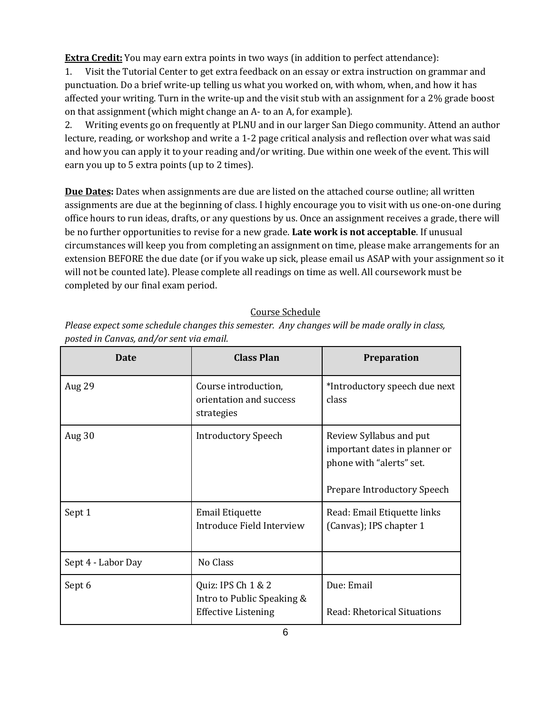**Extra Credit:** You may earn extra points in two ways (in addition to perfect attendance):

1. Visit the Tutorial Center to get extra feedback on an essay or extra instruction on grammar and punctuation. Do a brief write-up telling us what you worked on, with whom, when, and how it has affected your writing. Turn in the write-up and the visit stub with an assignment for a 2% grade boost on that assignment (which might change an A- to an A, for example).

2. Writing events go on frequently at PLNU and in our larger San Diego community. Attend an author lecture, reading, or workshop and write a 1-2 page critical analysis and reflection over what was said and how you can apply it to your reading and/or writing. Due within one week of the event. This will earn you up to 5 extra points (up to 2 times).

**Due Dates:** Dates when assignments are due are listed on the attached course outline; all written assignments are due at the beginning of class. I highly encourage you to visit with us one-on-one during office hours to run ideas, drafts, or any questions by us. Once an assignment receives a grade, there will be no further opportunities to revise for a new grade. **Late work is not acceptable**. If unusual circumstances will keep you from completing an assignment on time, please make arrangements for an extension BEFORE the due date (or if you wake up sick, please email us ASAP with your assignment so it will not be counted late). Please complete all readings on time as well. All coursework must be completed by our final exam period.

# Course Schedule

| Please expect some schedule changes this semester. Any changes will be made orally in class, |
|----------------------------------------------------------------------------------------------|
| posted in Canvas, and/or sent via email.                                                     |

| Date               | <b>Class Plan</b>                                                              | <b>Preparation</b>                                                                                                  |
|--------------------|--------------------------------------------------------------------------------|---------------------------------------------------------------------------------------------------------------------|
| Aug 29             | Course introduction,<br>orientation and success<br>strategies                  | *Introductory speech due next<br>class                                                                              |
| Aug 30             | <b>Introductory Speech</b>                                                     | Review Syllabus and put<br>important dates in planner or<br>phone with "alerts" set.<br>Prepare Introductory Speech |
| Sept 1             | <b>Email Etiquette</b><br>Introduce Field Interview                            | Read: Email Etiquette links<br>(Canvas); IPS chapter 1                                                              |
| Sept 4 - Labor Day | No Class                                                                       |                                                                                                                     |
| Sept 6             | Quiz: IPS Ch 1 & 2<br>Intro to Public Speaking &<br><b>Effective Listening</b> | Due: Email<br>Read: Rhetorical Situations                                                                           |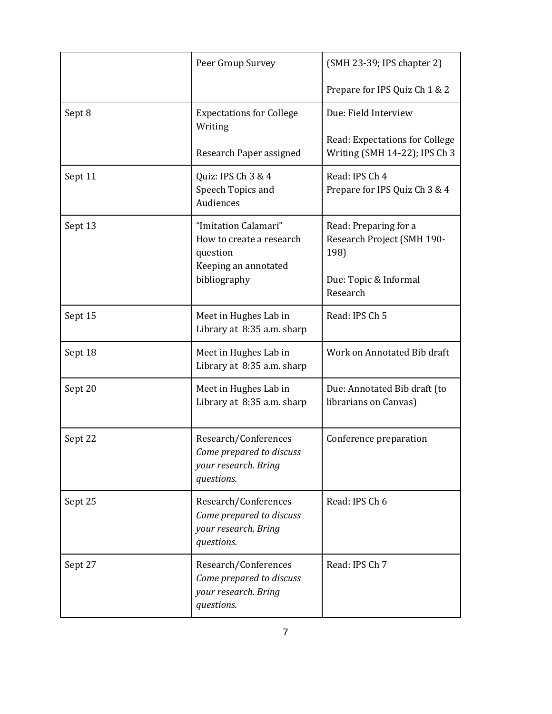|         | Peer Group Survey                                                                      | (SMH 23-39; IPS chapter 2)                                      |
|---------|----------------------------------------------------------------------------------------|-----------------------------------------------------------------|
|         |                                                                                        | Prepare for IPS Quiz Ch 1 & 2                                   |
| Sept 8  | <b>Expectations for College</b><br>Writing                                             | Due: Field Interview                                            |
|         | Research Paper assigned                                                                | Read: Expectations for College<br>Writing (SMH 14-22); IPS Ch 3 |
| Sept 11 | Quiz: IPS Ch 3 & 4<br>Speech Topics and<br>Audiences                                   | Read: IPS Ch 4<br>Prepare for IPS Quiz Ch 3 & 4                 |
| Sept 13 | "Imitation Calamari"<br>How to create a research<br>question<br>Keeping an annotated   | Read: Preparing for a<br>Research Project (SMH 190-<br>198)     |
|         | bibliography                                                                           | Due: Topic & Informal<br>Research                               |
| Sept 15 | Meet in Hughes Lab in<br>Library at 8:35 a.m. sharp                                    | Read: IPS Ch 5                                                  |
| Sept 18 | Meet in Hughes Lab in<br>Library at 8:35 a.m. sharp                                    | Work on Annotated Bib draft                                     |
| Sept 20 | Meet in Hughes Lab in<br>Library at 8:35 a.m. sharp                                    | Due: Annotated Bib draft (to<br>librarians on Canvas)           |
| Sept 22 | Research/Conferences<br>Come prepared to discuss<br>your research. Bring<br>questions. | Conference preparation                                          |
| Sept 25 | Research/Conferences<br>Come prepared to discuss<br>your research. Bring<br>questions. | Read: IPS Ch 6                                                  |
| Sept 27 | Research/Conferences<br>Come prepared to discuss<br>your research. Bring<br>questions. | Read: IPS Ch 7                                                  |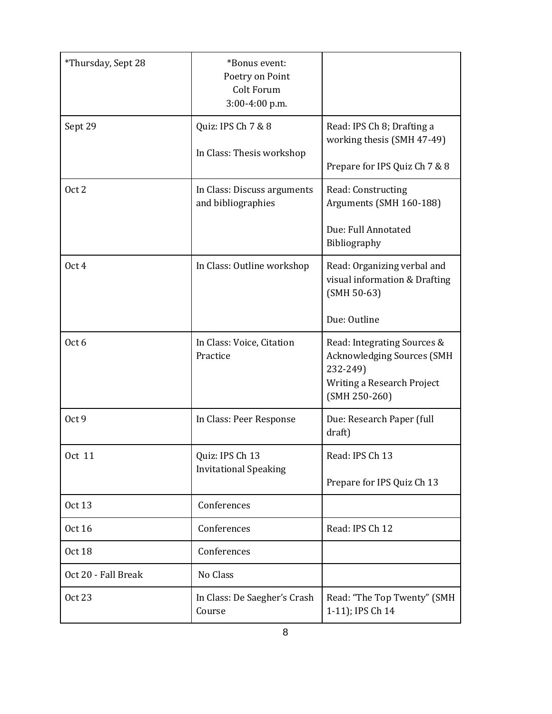| *Thursday, Sept 28  | *Bonus event:<br>Poetry on Point<br>Colt Forum<br>3:00-4:00 p.m. |                                                                                                                        |
|---------------------|------------------------------------------------------------------|------------------------------------------------------------------------------------------------------------------------|
| Sept 29             | Quiz: IPS Ch 7 & 8<br>In Class: Thesis workshop                  | Read: IPS Ch 8; Drafting a<br>working thesis (SMH 47-49)<br>Prepare for IPS Quiz Ch 7 & 8                              |
| Oct 2               | In Class: Discuss arguments<br>and bibliographies                | Read: Constructing<br>Arguments (SMH 160-188)<br>Due: Full Annotated<br>Bibliography                                   |
| Oct 4               | In Class: Outline workshop                                       | Read: Organizing verbal and<br>visual information & Drafting<br>$(SMH 50-63)$<br>Due: Outline                          |
| Oct 6               | In Class: Voice, Citation<br>Practice                            | Read: Integrating Sources &<br>Acknowledging Sources (SMH<br>232-249)<br>Writing a Research Project<br>$(SMH 250-260)$ |
| Oct 9               | In Class: Peer Response                                          | Due: Research Paper (full<br>draft)                                                                                    |
| Oct 11              | Quiz: IPS Ch 13<br><b>Invitational Speaking</b>                  | Read: IPS Ch 13<br>Prepare for IPS Quiz Ch 13                                                                          |
| <b>Oct 13</b>       | Conferences                                                      |                                                                                                                        |
| Oct 16              | Conferences                                                      | Read: IPS Ch 12                                                                                                        |
| <b>Oct 18</b>       | Conferences                                                      |                                                                                                                        |
| Oct 20 - Fall Break | No Class                                                         |                                                                                                                        |
| <b>Oct 23</b>       | In Class: De Saegher's Crash<br>Course                           | Read: "The Top Twenty" (SMH<br>1-11); IPS Ch 14                                                                        |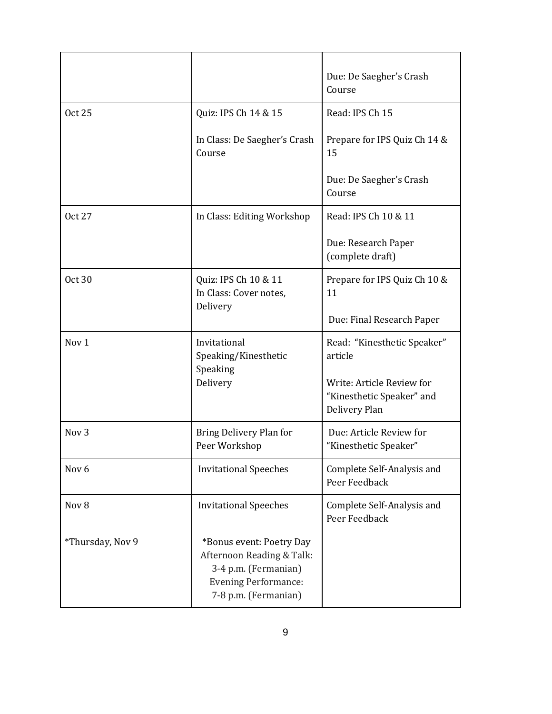|                  |                                                                                                                                      | Due: De Saegher's Crash<br>Course                                                                                 |
|------------------|--------------------------------------------------------------------------------------------------------------------------------------|-------------------------------------------------------------------------------------------------------------------|
| <b>Oct 25</b>    | Quiz: IPS Ch 14 & 15                                                                                                                 | Read: IPS Ch 15                                                                                                   |
|                  | In Class: De Saegher's Crash<br>Course                                                                                               | Prepare for IPS Quiz Ch 14 &<br>15                                                                                |
|                  |                                                                                                                                      | Due: De Saegher's Crash<br>Course                                                                                 |
| <b>Oct 27</b>    | In Class: Editing Workshop                                                                                                           | Read: IPS Ch 10 & 11                                                                                              |
|                  |                                                                                                                                      | Due: Research Paper<br>(complete draft)                                                                           |
| <b>Oct 30</b>    | Quiz: IPS Ch 10 & 11<br>In Class: Cover notes,<br>Delivery                                                                           | Prepare for IPS Quiz Ch 10 &<br>11                                                                                |
|                  |                                                                                                                                      | Due: Final Research Paper                                                                                         |
| Nov <sub>1</sub> | Invitational<br>Speaking/Kinesthetic<br>Speaking<br>Delivery                                                                         | Read: "Kinesthetic Speaker"<br>article<br>Write: Article Review for<br>"Kinesthetic Speaker" and<br>Delivery Plan |
| Nov <sub>3</sub> | Bring Delivery Plan for<br>Peer Workshop                                                                                             | Due: Article Review for<br>"Kinesthetic Speaker"                                                                  |
| Nov <sub>6</sub> | <b>Invitational Speeches</b>                                                                                                         | Complete Self-Analysis and<br>Peer Feedback                                                                       |
| Nov 8            | <b>Invitational Speeches</b>                                                                                                         | Complete Self-Analysis and<br>Peer Feedback                                                                       |
| *Thursday, Nov 9 | *Bonus event: Poetry Day<br>Afternoon Reading & Talk:<br>3-4 p.m. (Fermanian)<br><b>Evening Performance:</b><br>7-8 p.m. (Fermanian) |                                                                                                                   |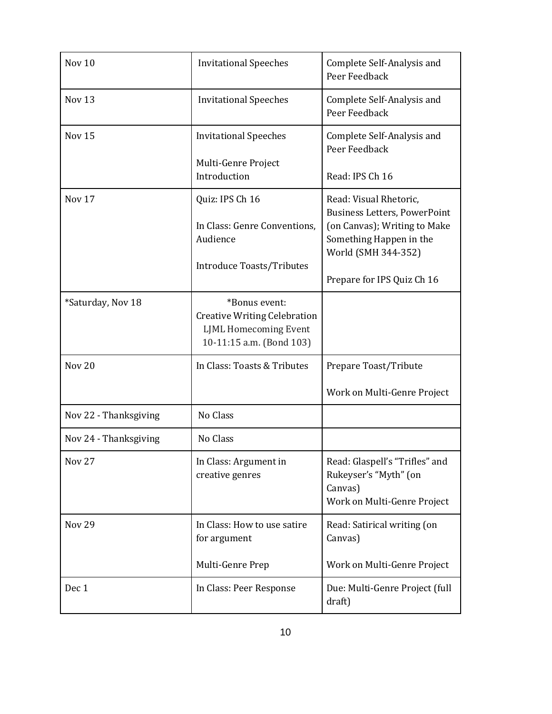| Nov <sub>10</sub>     | <b>Invitational Speeches</b>                                                                                     | Complete Self-Analysis and<br>Peer Feedback                                                                                                                                   |
|-----------------------|------------------------------------------------------------------------------------------------------------------|-------------------------------------------------------------------------------------------------------------------------------------------------------------------------------|
| Nov <sub>13</sub>     | <b>Invitational Speeches</b>                                                                                     | Complete Self-Analysis and<br>Peer Feedback                                                                                                                                   |
| Nov <sub>15</sub>     | <b>Invitational Speeches</b><br>Multi-Genre Project<br>Introduction                                              | Complete Self-Analysis and<br>Peer Feedback<br>Read: IPS Ch 16                                                                                                                |
| Nov <sub>17</sub>     | Quiz: IPS Ch 16<br>In Class: Genre Conventions,<br>Audience<br><b>Introduce Toasts/Tributes</b>                  | Read: Visual Rhetoric,<br><b>Business Letters, PowerPoint</b><br>(on Canvas); Writing to Make<br>Something Happen in the<br>World (SMH 344-352)<br>Prepare for IPS Quiz Ch 16 |
| *Saturday, Nov 18     | *Bonus event:<br><b>Creative Writing Celebration</b><br><b>LJML Homecoming Event</b><br>10-11:15 a.m. (Bond 103) |                                                                                                                                                                               |
| Nov <sub>20</sub>     | In Class: Toasts & Tributes                                                                                      | Prepare Toast/Tribute<br>Work on Multi-Genre Project                                                                                                                          |
| Nov 22 - Thanksgiving | No Class                                                                                                         |                                                                                                                                                                               |
| Nov 24 - Thanksgiving | No Class                                                                                                         |                                                                                                                                                                               |
| <b>Nov 27</b>         | In Class: Argument in<br>creative genres                                                                         | Read: Glaspell's "Trifles" and<br>Rukeyser's "Myth" (on<br>Canvas)<br>Work on Multi-Genre Project                                                                             |
| <b>Nov 29</b>         | In Class: How to use satire<br>for argument<br>Multi-Genre Prep                                                  | Read: Satirical writing (on<br>Canvas)<br>Work on Multi-Genre Project                                                                                                         |
| Dec 1                 | In Class: Peer Response                                                                                          | Due: Multi-Genre Project (full<br>draft)                                                                                                                                      |